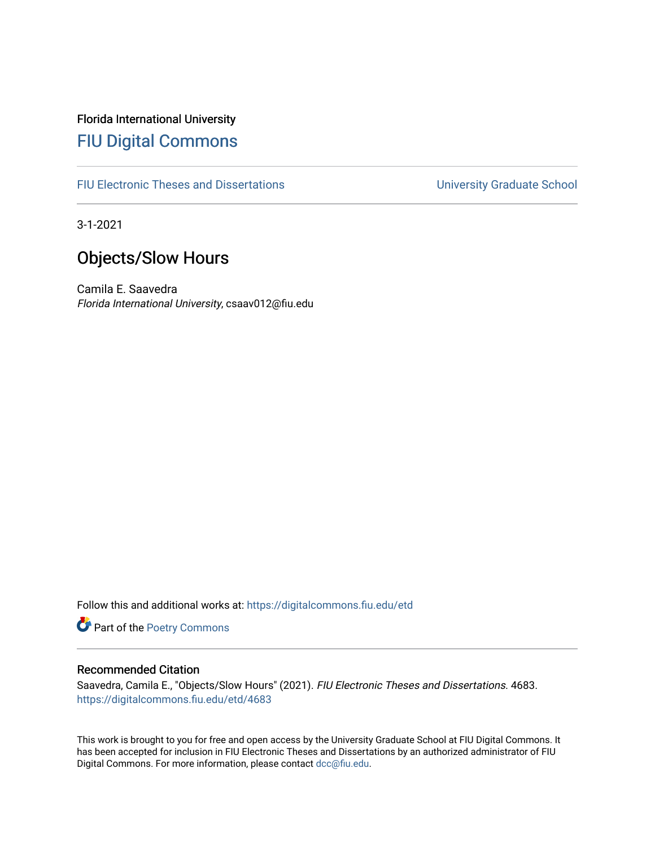# Florida International University [FIU Digital Commons](https://digitalcommons.fiu.edu/)

[FIU Electronic Theses and Dissertations](https://digitalcommons.fiu.edu/etd) **EXECUTE:** University Graduate School

3-1-2021

# Objects/Slow Hours

Camila E. Saavedra Florida International University, csaav012@fiu.edu

Follow this and additional works at: [https://digitalcommons.fiu.edu/etd](https://digitalcommons.fiu.edu/etd?utm_source=digitalcommons.fiu.edu%2Fetd%2F4683&utm_medium=PDF&utm_campaign=PDFCoverPages)

Part of the [Poetry Commons](https://network.bepress.com/hgg/discipline/1153?utm_source=digitalcommons.fiu.edu%2Fetd%2F4683&utm_medium=PDF&utm_campaign=PDFCoverPages) 

### Recommended Citation

Saavedra, Camila E., "Objects/Slow Hours" (2021). FIU Electronic Theses and Dissertations. 4683. [https://digitalcommons.fiu.edu/etd/4683](https://digitalcommons.fiu.edu/etd/4683?utm_source=digitalcommons.fiu.edu%2Fetd%2F4683&utm_medium=PDF&utm_campaign=PDFCoverPages) 

This work is brought to you for free and open access by the University Graduate School at FIU Digital Commons. It has been accepted for inclusion in FIU Electronic Theses and Dissertations by an authorized administrator of FIU Digital Commons. For more information, please contact [dcc@fiu.edu](mailto:dcc@fiu.edu).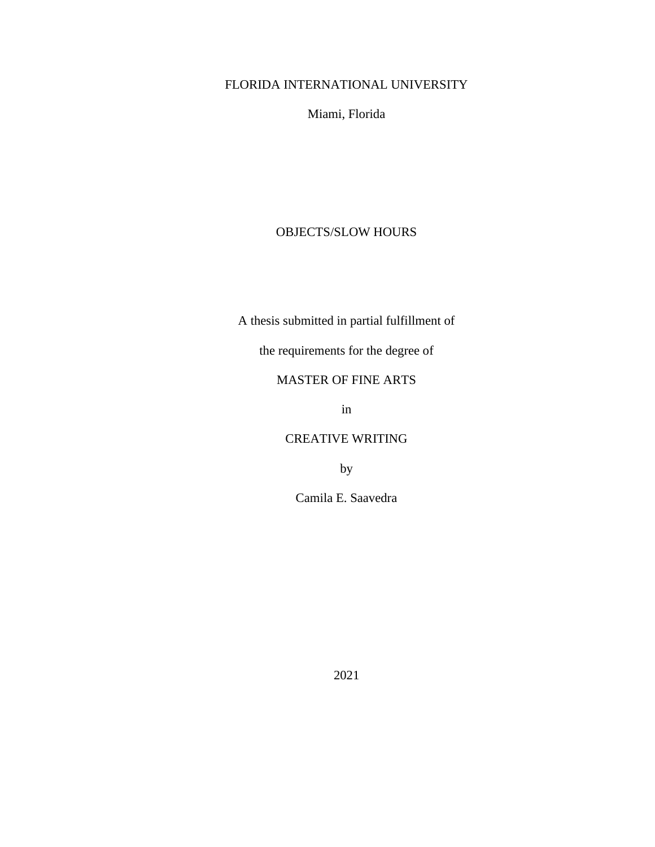# FLORIDA INTERNATIONAL UNIVERSITY

Miami, Florida

## OBJECTS/SLOW HOURS

A thesis submitted in partial fulfillment of

the requirements for the degree of

## MASTER OF FINE ARTS

in

## CREATIVE WRITING

by

Camila E. Saavedra

2021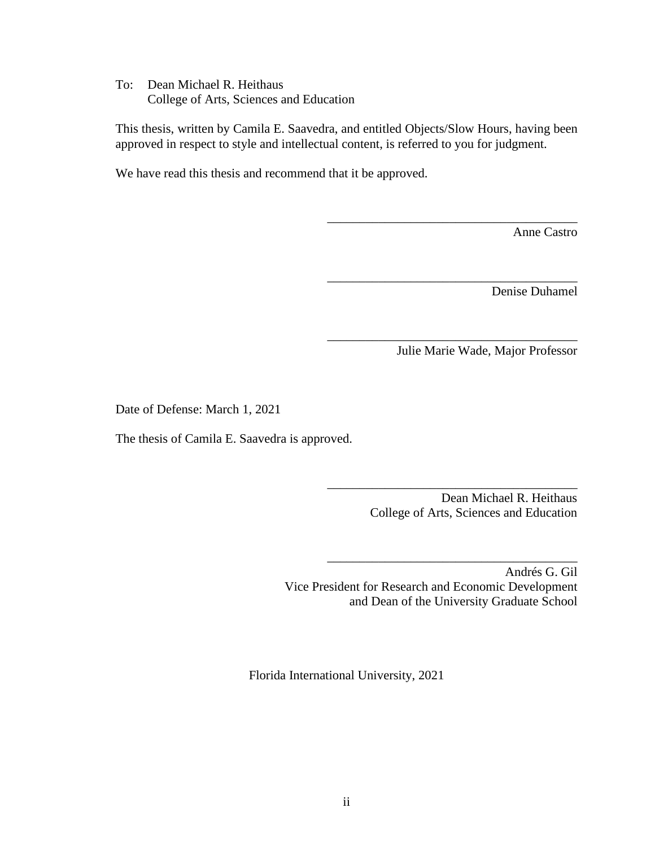To: Dean Michael R. Heithaus College of Arts, Sciences and Education

This thesis, written by Camila E. Saavedra, and entitled Objects/Slow Hours, having been approved in respect to style and intellectual content, is referred to you for judgment.

We have read this thesis and recommend that it be approved.

Anne Castro

Denise Duhamel

Julie Marie Wade, Major Professor

\_\_\_\_\_\_\_\_\_\_\_\_\_\_\_\_\_\_\_\_\_\_\_\_\_\_\_\_\_\_\_\_\_\_\_\_\_\_\_

\_\_\_\_\_\_\_\_\_\_\_\_\_\_\_\_\_\_\_\_\_\_\_\_\_\_\_\_\_\_\_\_\_\_\_\_\_\_\_

\_\_\_\_\_\_\_\_\_\_\_\_\_\_\_\_\_\_\_\_\_\_\_\_\_\_\_\_\_\_\_\_\_\_\_\_\_\_\_

Date of Defense: March 1, 2021

The thesis of Camila E. Saavedra is approved.

\_\_\_\_\_\_\_\_\_\_\_\_\_\_\_\_\_\_\_\_\_\_\_\_\_\_\_\_\_\_\_\_\_\_\_\_\_\_\_ Dean Michael R. Heithaus College of Arts, Sciences and Education

Andrés G. Gil Vice President for Research and Economic Development and Dean of the University Graduate School

\_\_\_\_\_\_\_\_\_\_\_\_\_\_\_\_\_\_\_\_\_\_\_\_\_\_\_\_\_\_\_\_\_\_\_\_\_\_\_

Florida International University, 2021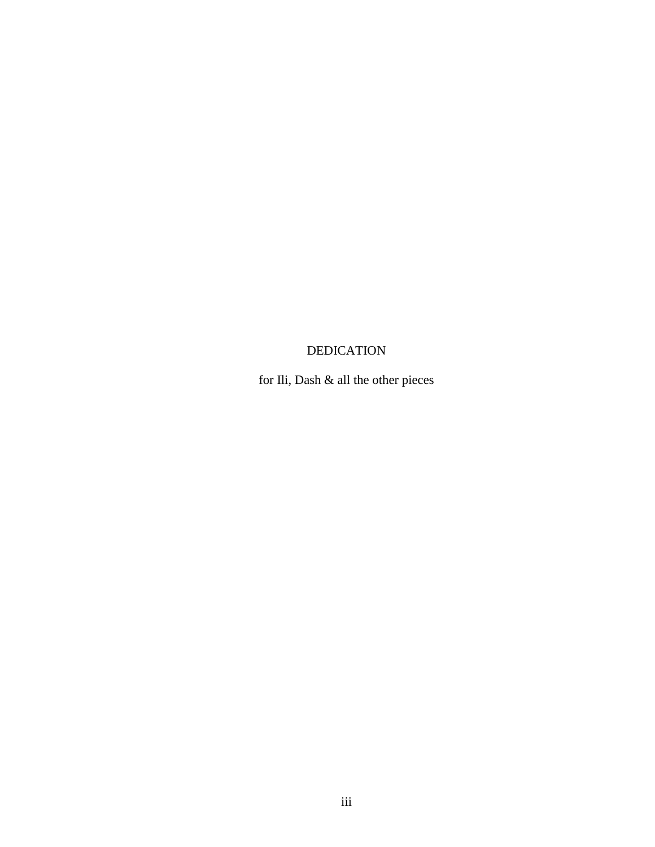# **DEDICATION**

for Ili, Dash  $\&$  all the other pieces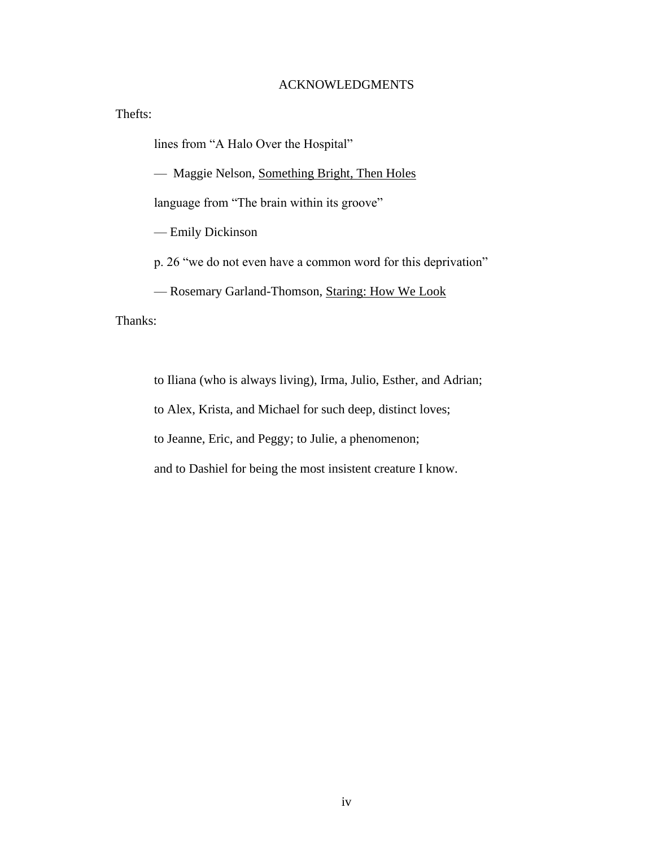### ACKNOWLEDGMENTS

Thefts:

lines from "A Halo Over the Hospital"

— Maggie Nelson, Something Bright, Then Holes

language from "The brain within its groove"

— Emily Dickinson

p. 26 "we do not even have a common word for this deprivation"

— Rosemary Garland-Thomson, Staring: How We Look

Thanks:

to Iliana (who is always living), Irma, Julio, Esther, and Adrian;

to Alex, Krista, and Michael for such deep, distinct loves;

to Jeanne, Eric, and Peggy; to Julie, a phenomenon;

and to Dashiel for being the most insistent creature I know.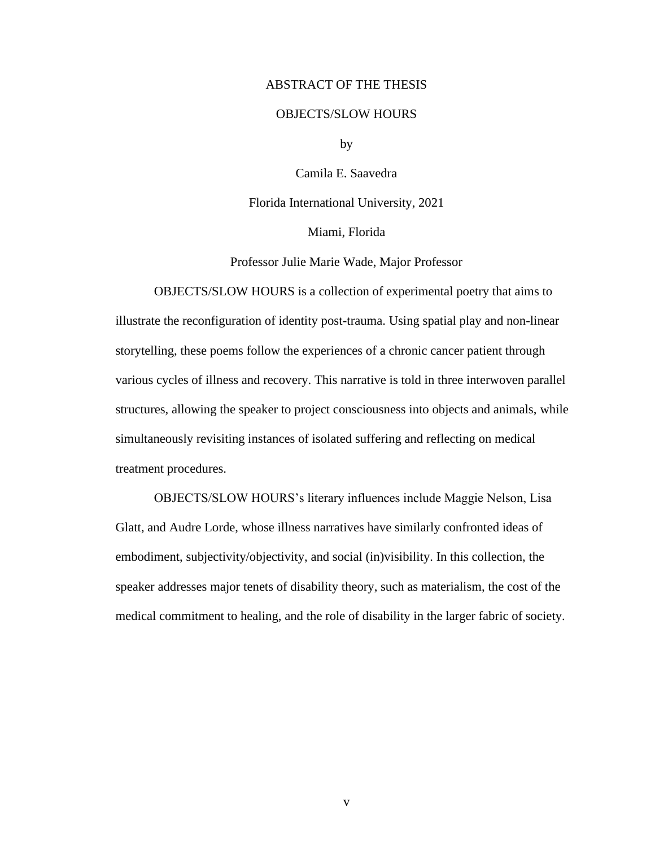#### ABSTRACT OF THE THESIS

#### OBJECTS/SLOW HOURS

by

Camila E. Saavedra

Florida International University, 2021

Miami, Florida

Professor Julie Marie Wade, Major Professor

OBJECTS/SLOW HOURS is a collection of experimental poetry that aims to illustrate the reconfiguration of identity post-trauma. Using spatial play and non-linear storytelling, these poems follow the experiences of a chronic cancer patient through various cycles of illness and recovery. This narrative is told in three interwoven parallel structures, allowing the speaker to project consciousness into objects and animals, while simultaneously revisiting instances of isolated suffering and reflecting on medical treatment procedures.

OBJECTS/SLOW HOURS's literary influences include Maggie Nelson, Lisa Glatt, and Audre Lorde, whose illness narratives have similarly confronted ideas of embodiment, subjectivity/objectivity, and social (in)visibility. In this collection, the speaker addresses major tenets of disability theory, such as materialism, the cost of the medical commitment to healing, and the role of disability in the larger fabric of society.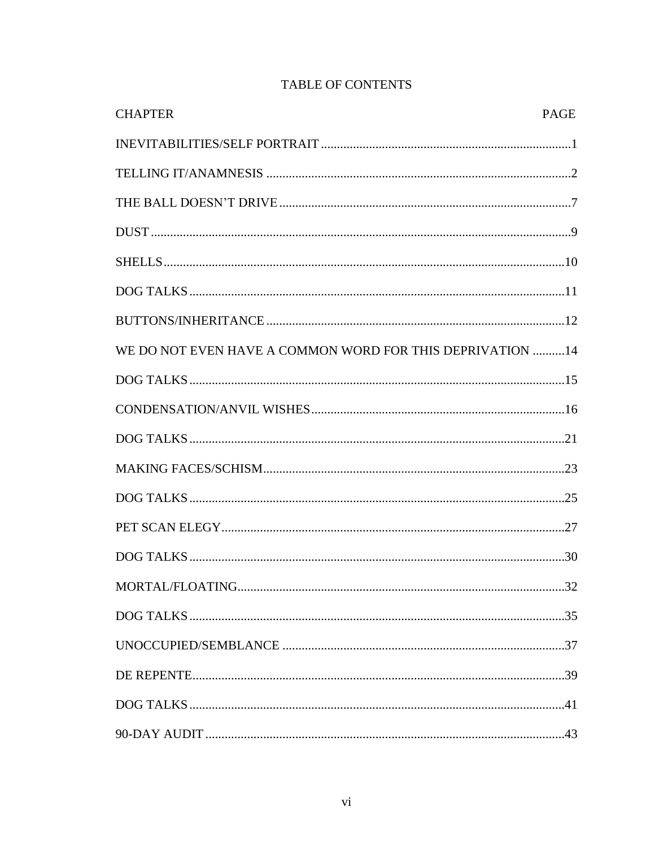| <b>CHAPTER</b>                                            | <b>PAGE</b> |
|-----------------------------------------------------------|-------------|
|                                                           |             |
|                                                           |             |
|                                                           |             |
|                                                           |             |
|                                                           |             |
|                                                           |             |
|                                                           |             |
| WE DO NOT EVEN HAVE A COMMON WORD FOR THIS DEPRIVATION 14 |             |
|                                                           |             |
|                                                           |             |
|                                                           |             |
|                                                           |             |
|                                                           |             |
|                                                           |             |
|                                                           |             |
|                                                           |             |
|                                                           |             |
|                                                           |             |
|                                                           |             |
|                                                           |             |
|                                                           |             |

# TABLE OF CONTENTS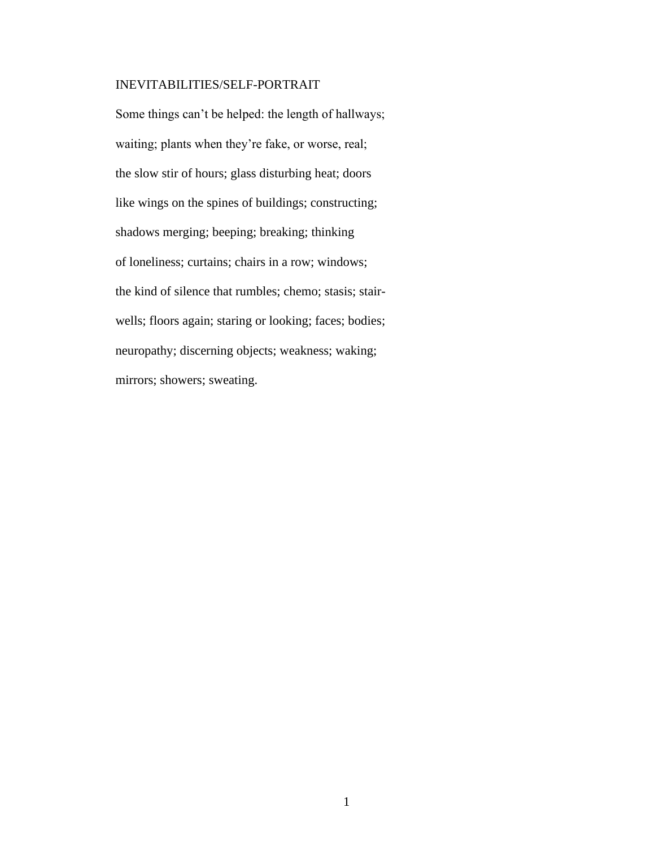### INEVITABILITIES/SELF-PORTRAIT

Some things can't be helped: the length of hallways; waiting; plants when they're fake, or worse, real; the slow stir of hours; glass disturbing heat; doors like wings on the spines of buildings; constructing; shadows merging; beeping; breaking; thinking of loneliness; curtains; chairs in a row; windows; the kind of silence that rumbles; chemo; stasis; stairwells; floors again; staring or looking; faces; bodies; neuropathy; discerning objects; weakness; waking; mirrors; showers; sweating.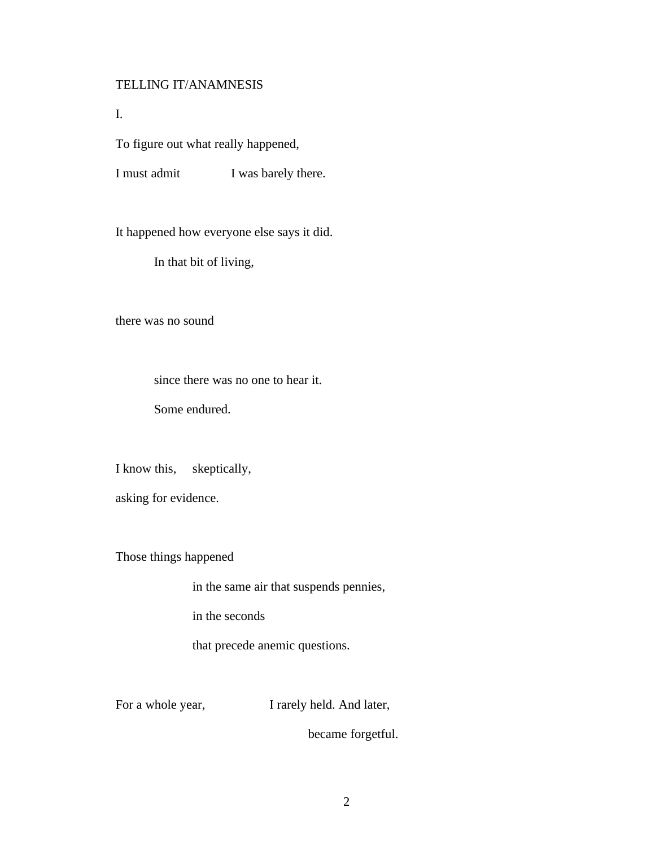### TELLING IT/ANAMNESIS

I.

To figure out what really happened,

I must admit I was barely there.

It happened how everyone else says it did.

In that bit of living,

there was no sound

since there was no one to hear it.

Some endured.

I know this, skeptically,

asking for evidence.

Those things happened

in the same air that suspends pennies,

in the seconds

that precede anemic questions.

For a whole year, I rarely held. And later,

became forgetful.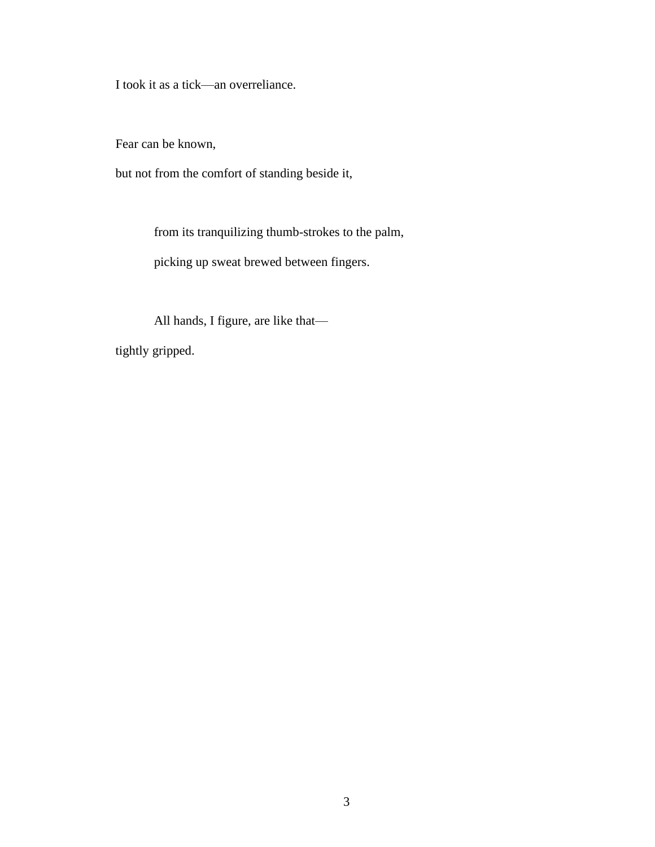I took it as a tick—an overreliance.

Fear can be known,

but not from the comfort of standing beside it,

from its tranquilizing thumb-strokes to the palm,

picking up sweat brewed between fingers.

All hands, I figure, are like that—

tightly gripped.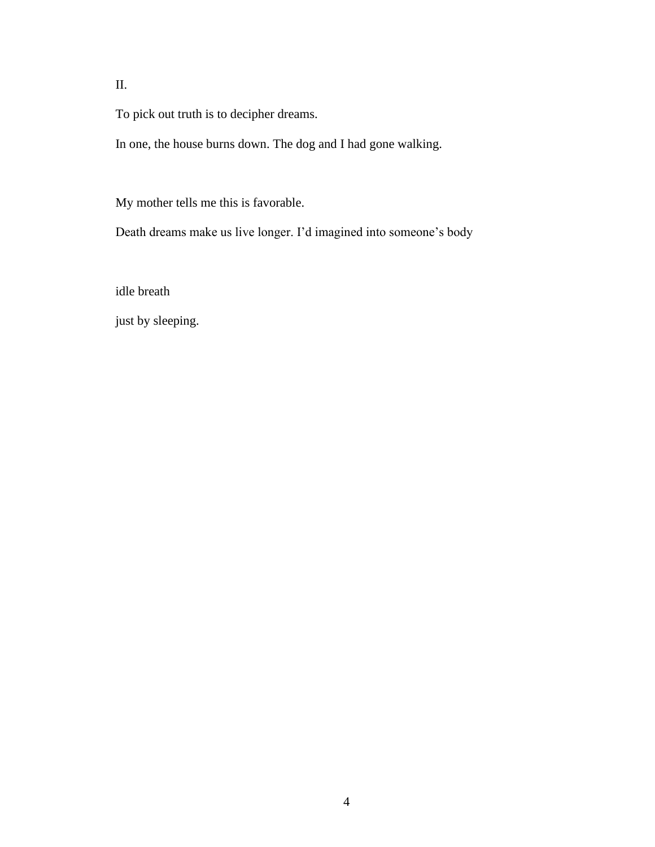II.

To pick out truth is to decipher dreams.

In one, the house burns down. The dog and I had gone walking.

My mother tells me this is favorable.

Death dreams make us live longer. I'd imagined into someone's body

idle breath

just by sleeping.